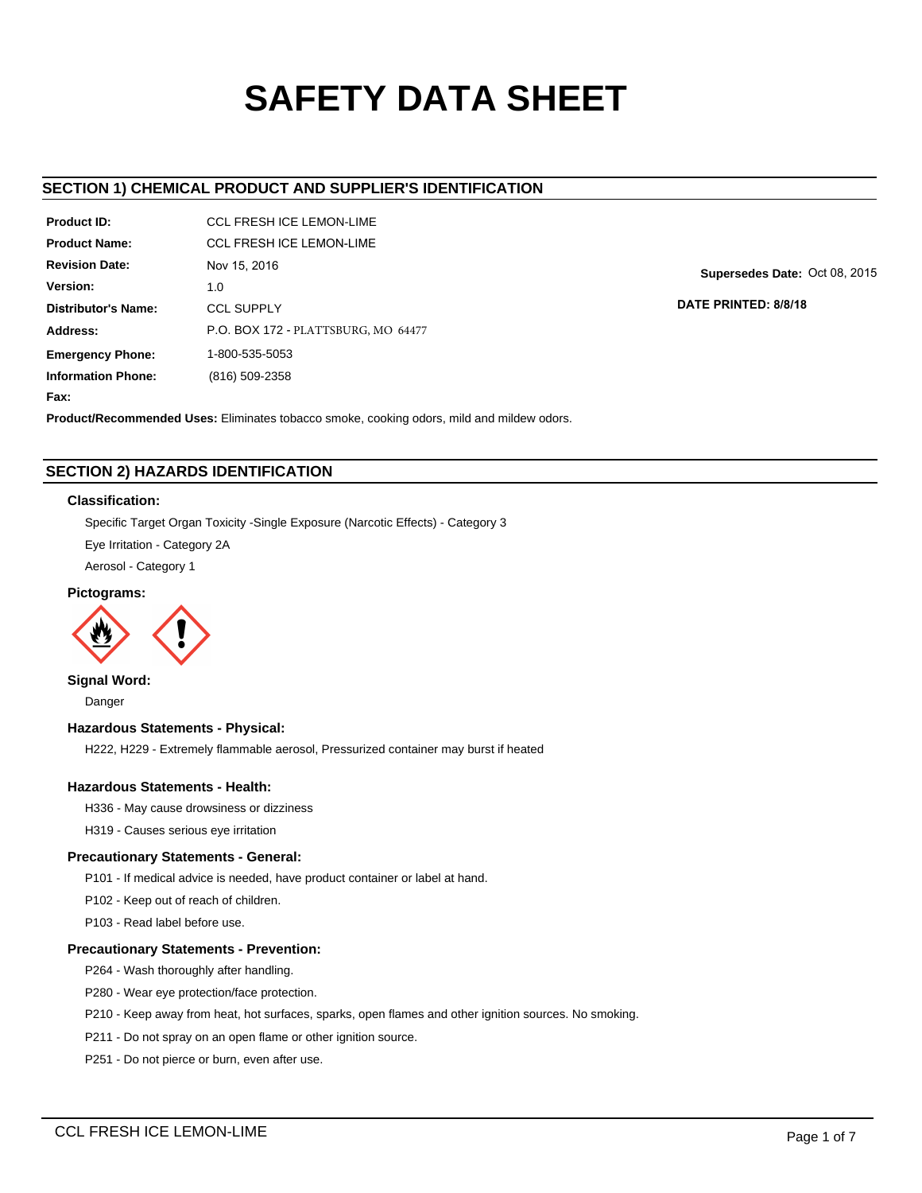# **SAFETY DATA SHEET**

## **SECTION 1) CHEMICAL PRODUCT AND SUPPLIER'S IDENTIFICATION**

| Product ID:               | <b>CCL FRESH ICE LEMON-LIME</b>     |
|---------------------------|-------------------------------------|
| <b>Product Name:</b>      | CCL FRESH ICE I FMON-LIME           |
| <b>Revision Date:</b>     | Nov 15, 2016                        |
| Version:                  | 1. $\Omega$                         |
| Distributor's Name:       | <b>CCL SUPPLY</b>                   |
| Address:                  | P.O. BOX 172 - PLATTSBURG, MO 64477 |
| <b>Emergency Phone:</b>   | 1-800-535-5053                      |
| <b>Information Phone:</b> | (816) 509-2358                      |

**Supersedes Date:** Oct 08, 2015

**DATE PRINTED: 8/8/18**

# **Product/Recommended Uses:** Eliminates tobacco smoke, cooking odors, mild and mildew odors.

## **SECTION 2) HAZARDS IDENTIFICATION**

## **Classification:**

**Fax:**

Specific Target Organ Toxicity -Single Exposure (Narcotic Effects) - Category 3

Eye Irritation - Category 2A

Aerosol - Category 1

## **Pictograms:**



**Signal Word:**

Danger

## **Hazardous Statements - Physical:**

H222, H229 - Extremely flammable aerosol, Pressurized container may burst if heated

## **Hazardous Statements - Health:**

H336 - May cause drowsiness or dizziness

H319 - Causes serious eye irritation

## **Precautionary Statements - General:**

P101 - If medical advice is needed, have product container or label at hand.

P102 - Keep out of reach of children.

P103 - Read label before use.

## **Precautionary Statements - Prevention:**

P264 - Wash thoroughly after handling.

P280 - Wear eye protection/face protection.

P210 - Keep away from heat, hot surfaces, sparks, open flames and other ignition sources. No smoking.

P211 - Do not spray on an open flame or other ignition source.

P251 - Do not pierce or burn, even after use.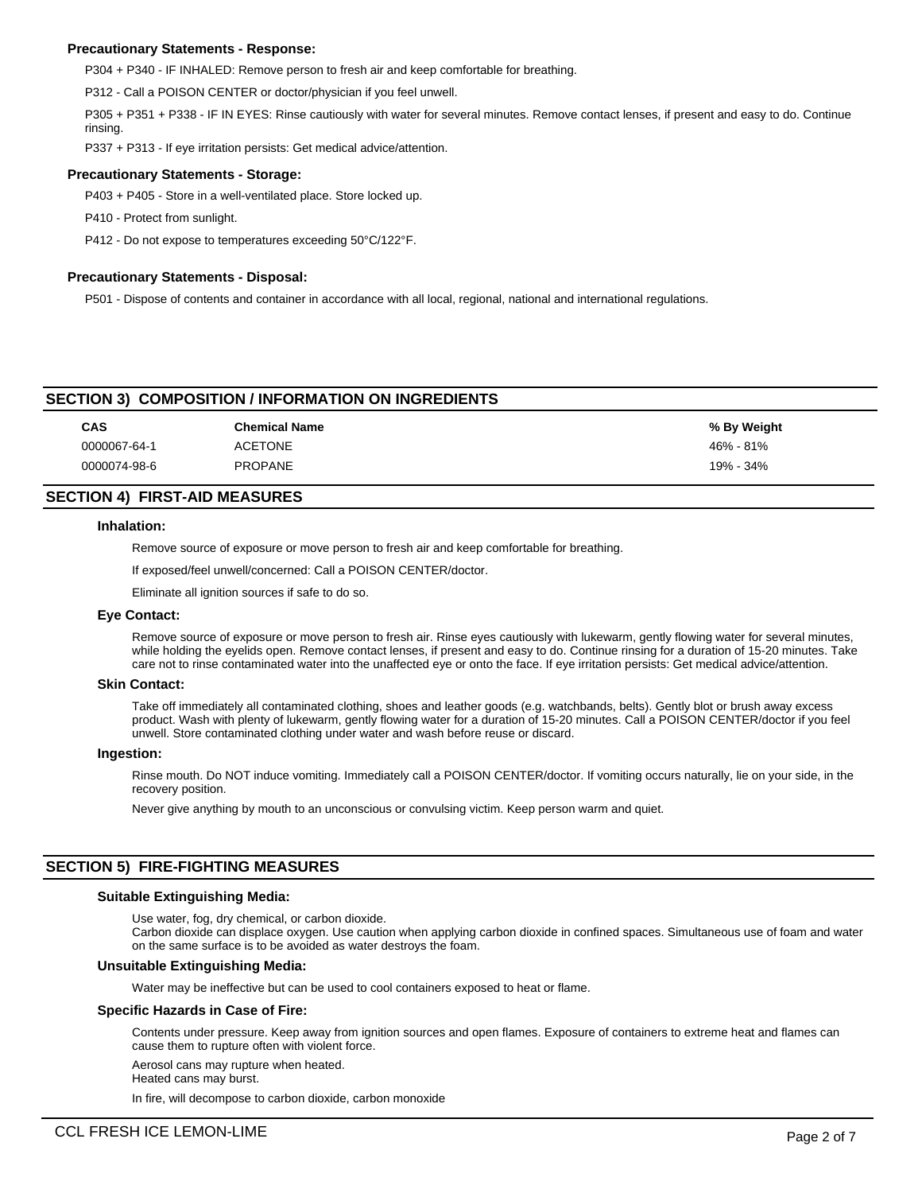## **Precautionary Statements - Response:**

P304 + P340 - IF INHALED: Remove person to fresh air and keep comfortable for breathing.

P312 - Call a POISON CENTER or doctor/physician if you feel unwell.

P305 + P351 + P338 - IF IN EYES: Rinse cautiously with water for several minutes. Remove contact lenses, if present and easy to do. Continue rinsing.

P337 + P313 - If eye irritation persists: Get medical advice/attention.

#### **Precautionary Statements - Storage:**

P403 + P405 - Store in a well-ventilated place. Store locked up.

P410 - Protect from sunlight.

P412 - Do not expose to temperatures exceeding 50°C/122°F.

## **Precautionary Statements - Disposal:**

P501 - Dispose of contents and container in accordance with all local, regional, national and international regulations.

## **SECTION 3) COMPOSITION / INFORMATION ON INGREDIENTS**

| <b>CAS</b>   | <b>Chemical Name</b> | % By Weight |
|--------------|----------------------|-------------|
| 0000067-64-1 | <b>ACETONE</b>       | 46% - 81%   |
| 0000074-98-6 | <b>PROPANE</b>       | 19% - 34%   |

## **SECTION 4) FIRST-AID MEASURES**

#### **Inhalation:**

Remove source of exposure or move person to fresh air and keep comfortable for breathing.

If exposed/feel unwell/concerned: Call a POISON CENTER/doctor.

Eliminate all ignition sources if safe to do so.

#### **Eye Contact:**

Remove source of exposure or move person to fresh air. Rinse eyes cautiously with lukewarm, gently flowing water for several minutes, while holding the eyelids open. Remove contact lenses, if present and easy to do. Continue rinsing for a duration of 15-20 minutes. Take care not to rinse contaminated water into the unaffected eye or onto the face. If eye irritation persists: Get medical advice/attention.

#### **Skin Contact:**

Take off immediately all contaminated clothing, shoes and leather goods (e.g. watchbands, belts). Gently blot or brush away excess product. Wash with plenty of lukewarm, gently flowing water for a duration of 15-20 minutes. Call a POISON CENTER/doctor if you feel unwell. Store contaminated clothing under water and wash before reuse or discard.

#### **Ingestion:**

Rinse mouth. Do NOT induce vomiting. Immediately call a POISON CENTER/doctor. If vomiting occurs naturally, lie on your side, in the recovery position.

Never give anything by mouth to an unconscious or convulsing victim. Keep person warm and quiet.

## **SECTION 5) FIRE-FIGHTING MEASURES**

#### **Suitable Extinguishing Media:**

Use water, fog, dry chemical, or carbon dioxide.

Carbon dioxide can displace oxygen. Use caution when applying carbon dioxide in confined spaces. Simultaneous use of foam and water on the same surface is to be avoided as water destroys the foam.

#### **Unsuitable Extinguishing Media:**

Water may be ineffective but can be used to cool containers exposed to heat or flame.

## **Specific Hazards in Case of Fire:**

Contents under pressure. Keep away from ignition sources and open flames. Exposure of containers to extreme heat and flames can cause them to rupture often with violent force.

Aerosol cans may rupture when heated. Heated cans may burst.

In fire, will decompose to carbon dioxide, carbon monoxide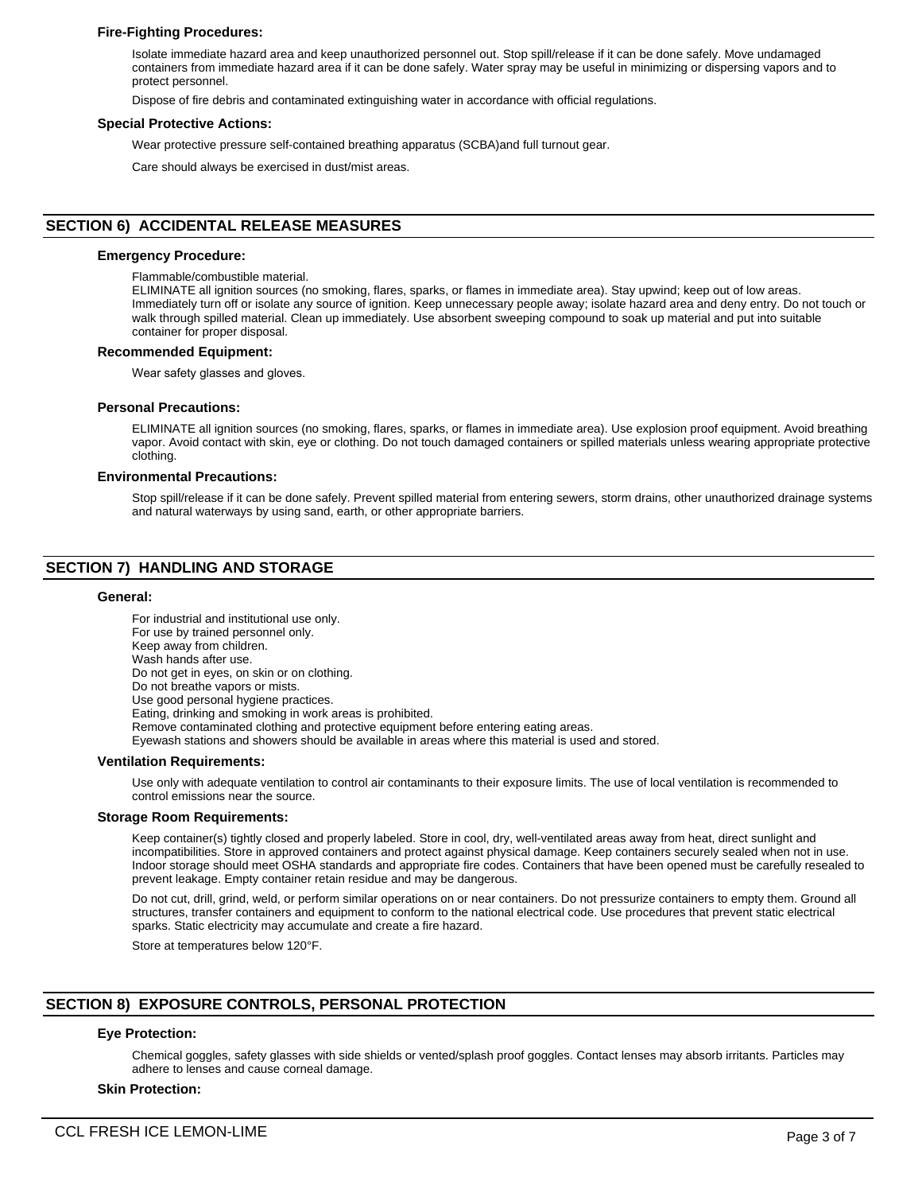## **Fire-Fighting Procedures:**

Isolate immediate hazard area and keep unauthorized personnel out. Stop spill/release if it can be done safely. Move undamaged containers from immediate hazard area if it can be done safely. Water spray may be useful in minimizing or dispersing vapors and to protect personnel.

Dispose of fire debris and contaminated extinguishing water in accordance with official regulations.

#### **Special Protective Actions:**

Wear protective pressure self-contained breathing apparatus (SCBA)and full turnout gear.

Care should always be exercised in dust/mist areas.

## **SECTION 6) ACCIDENTAL RELEASE MEASURES**

## **Emergency Procedure:**

Flammable/combustible material.

ELIMINATE all ignition sources (no smoking, flares, sparks, or flames in immediate area). Stay upwind; keep out of low areas. Immediately turn off or isolate any source of ignition. Keep unnecessary people away; isolate hazard area and deny entry. Do not touch or walk through spilled material. Clean up immediately. Use absorbent sweeping compound to soak up material and put into suitable container for proper disposal.

#### **Recommended Equipment:**

Wear safety glasses and gloves.

#### **Personal Precautions:**

ELIMINATE all ignition sources (no smoking, flares, sparks, or flames in immediate area). Use explosion proof equipment. Avoid breathing vapor. Avoid contact with skin, eye or clothing. Do not touch damaged containers or spilled materials unless wearing appropriate protective clothing.

#### **Environmental Precautions:**

Stop spill/release if it can be done safely. Prevent spilled material from entering sewers, storm drains, other unauthorized drainage systems and natural waterways by using sand, earth, or other appropriate barriers.

## **SECTION 7) HANDLING AND STORAGE**

#### **General:**

For industrial and institutional use only. For use by trained personnel only. Keep away from children. Wash hands after use. Do not get in eyes, on skin or on clothing. Do not breathe vapors or mists. Use good personal hygiene practices. Eating, drinking and smoking in work areas is prohibited. Remove contaminated clothing and protective equipment before entering eating areas. Eyewash stations and showers should be available in areas where this material is used and stored. **Ventilation Requirements:**

Use only with adequate ventilation to control air contaminants to their exposure limits. The use of local ventilation is recommended to control emissions near the source.

#### **Storage Room Requirements:**

Keep container(s) tightly closed and properly labeled. Store in cool, dry, well-ventilated areas away from heat, direct sunlight and incompatibilities. Store in approved containers and protect against physical damage. Keep containers securely sealed when not in use. Indoor storage should meet OSHA standards and appropriate fire codes. Containers that have been opened must be carefully resealed to prevent leakage. Empty container retain residue and may be dangerous.

Do not cut, drill, grind, weld, or perform similar operations on or near containers. Do not pressurize containers to empty them. Ground all structures, transfer containers and equipment to conform to the national electrical code. Use procedures that prevent static electrical sparks. Static electricity may accumulate and create a fire hazard.

Store at temperatures below 120°F.

## **SECTION 8) EXPOSURE CONTROLS, PERSONAL PROTECTION**

## **Eye Protection:**

Chemical goggles, safety glasses with side shields or vented/splash proof goggles. Contact lenses may absorb irritants. Particles may adhere to lenses and cause corneal damage.

#### **Skin Protection:**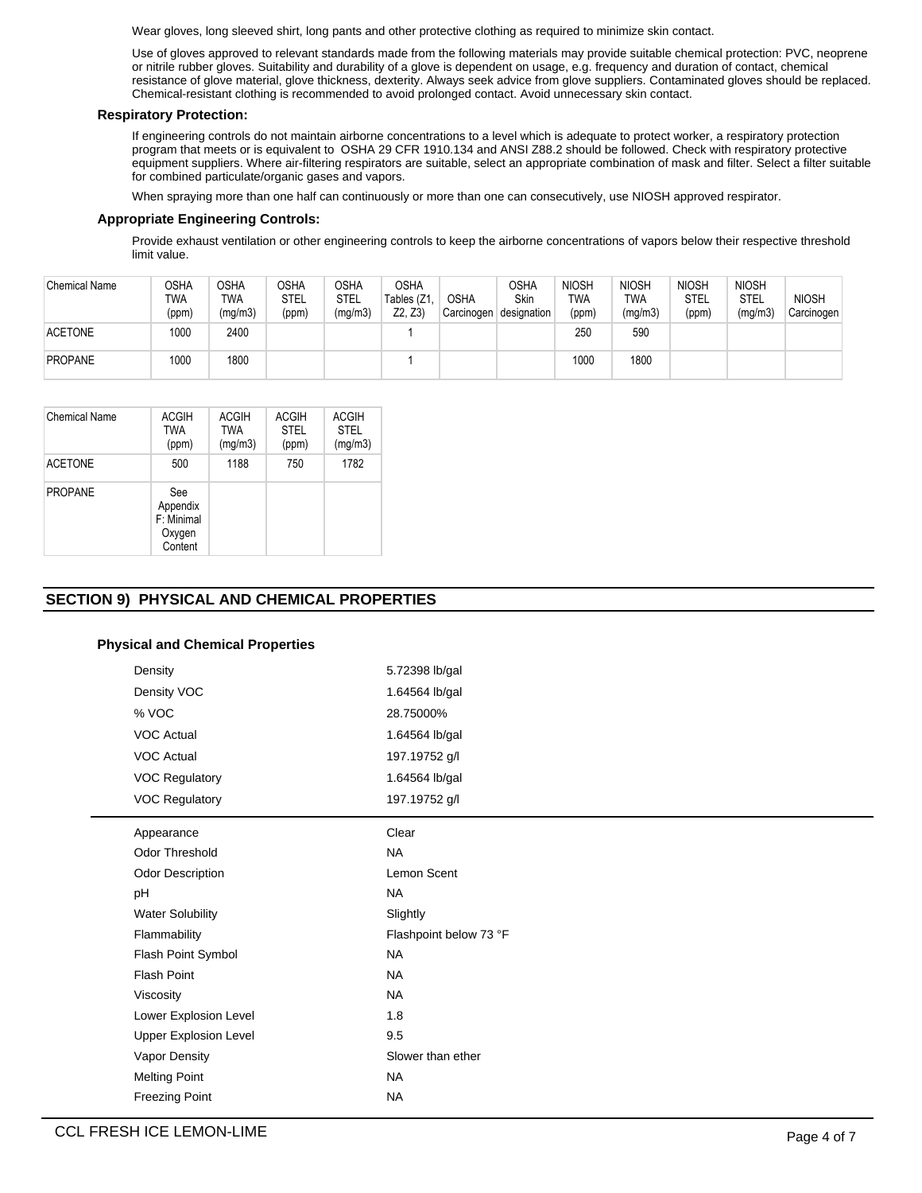Wear gloves, long sleeved shirt, long pants and other protective clothing as required to minimize skin contact.

Use of gloves approved to relevant standards made from the following materials may provide suitable chemical protection: PVC, neoprene or nitrile rubber gloves. Suitability and durability of a glove is dependent on usage, e.g. frequency and duration of contact, chemical resistance of glove material, glove thickness, dexterity. Always seek advice from glove suppliers. Contaminated gloves should be replaced. Chemical-resistant clothing is recommended to avoid prolonged contact. Avoid unnecessary skin contact.

## **Respiratory Protection:**

If engineering controls do not maintain airborne concentrations to a level which is adequate to protect worker, a respiratory protection program that meets or is equivalent to OSHA 29 CFR 1910.134 and ANSI Z88.2 should be followed. Check with respiratory protective equipment suppliers. Where air-filtering respirators are suitable, select an appropriate combination of mask and filter. Select a filter suitable for combined particulate/organic gases and vapors.

When spraying more than one half can continuously or more than one can consecutively, use NIOSH approved respirator.

## **Appropriate Engineering Controls:**

Provide exhaust ventilation or other engineering controls to keep the airborne concentrations of vapors below their respective threshold limit value.

| <b>Chemical Name</b> | OSHA<br><b>TWA</b><br>(ppm) | <b>OSHA</b><br><b>TWA</b><br>(mg/m3) | <b>OSHA</b><br><b>STEL</b><br>(ppm) | OSHA<br>STEL<br>(mg/m3) | <b>OSHA</b><br>Tables (Z1<br>Z2. Z3 | <b>OSHA</b><br>Carcinogen | <b>OSHA</b><br><b>Skin</b><br>designation | <b>NIOSH</b><br>TWA<br>(ppm) | <b>NIOSH</b><br>TWA<br>(mg/m3) | <b>NIOSH</b><br><b>STEL</b><br>(ppm) | <b>NIOSH</b><br><b>STEL</b><br>(mg/m3) | <b>NIOSH</b><br>Carcinogen |
|----------------------|-----------------------------|--------------------------------------|-------------------------------------|-------------------------|-------------------------------------|---------------------------|-------------------------------------------|------------------------------|--------------------------------|--------------------------------------|----------------------------------------|----------------------------|
| <b>ACETONE</b>       | 1000                        | 2400                                 |                                     |                         |                                     |                           |                                           | 250                          | 590                            |                                      |                                        |                            |
| <b>PROPANE</b>       | 1000                        | 1800                                 |                                     |                         |                                     |                           |                                           | 1000                         | 1800                           |                                      |                                        |                            |

| Chemical Name  | <b>ACGIH</b><br>TWA<br>(ppm)                       | <b>ACGIH</b><br>TWA<br>(mg/m3) | <b>ACGIH</b><br><b>STEL</b><br>(ppm) | <b>ACGIH</b><br><b>STEL</b><br>(mg/m3) |
|----------------|----------------------------------------------------|--------------------------------|--------------------------------------|----------------------------------------|
| <b>ACETONE</b> | 500                                                | 1188                           | 750                                  | 1782                                   |
| <b>PROPANE</b> | See<br>Appendix<br>F: Minimal<br>Oxygen<br>Content |                                |                                      |                                        |

## **SECTION 9) PHYSICAL AND CHEMICAL PROPERTIES**

## **Physical and Chemical Properties**

| Density                 | 5.72398 lb/gal         |
|-------------------------|------------------------|
| Density VOC             | 1.64564 lb/gal         |
| % VOC                   | 28.75000%              |
| <b>VOC Actual</b>       | 1.64564 lb/gal         |
| VOC Actual              | 197.19752 g/l          |
| <b>VOC Regulatory</b>   | 1.64564 lb/gal         |
| <b>VOC Regulatory</b>   | 197.19752 g/l          |
| Appearance              | Clear                  |
| Odor Threshold          | <b>NA</b>              |
| Odor Description        | Lemon Scent            |
| pH                      | <b>NA</b>              |
| <b>Water Solubility</b> | Slightly               |
| Flammability            | Flashpoint below 73 °F |
| Flash Point Symbol      | <b>NA</b>              |
| <b>Flash Point</b>      | <b>NA</b>              |
| Viscosity               | <b>NA</b>              |
| Lower Explosion Level   | 1.8                    |
| Upper Explosion Level   | 9.5                    |
| Vapor Density           | Slower than ether      |
| <b>Melting Point</b>    | <b>NA</b>              |
| <b>Freezing Point</b>   | <b>NA</b>              |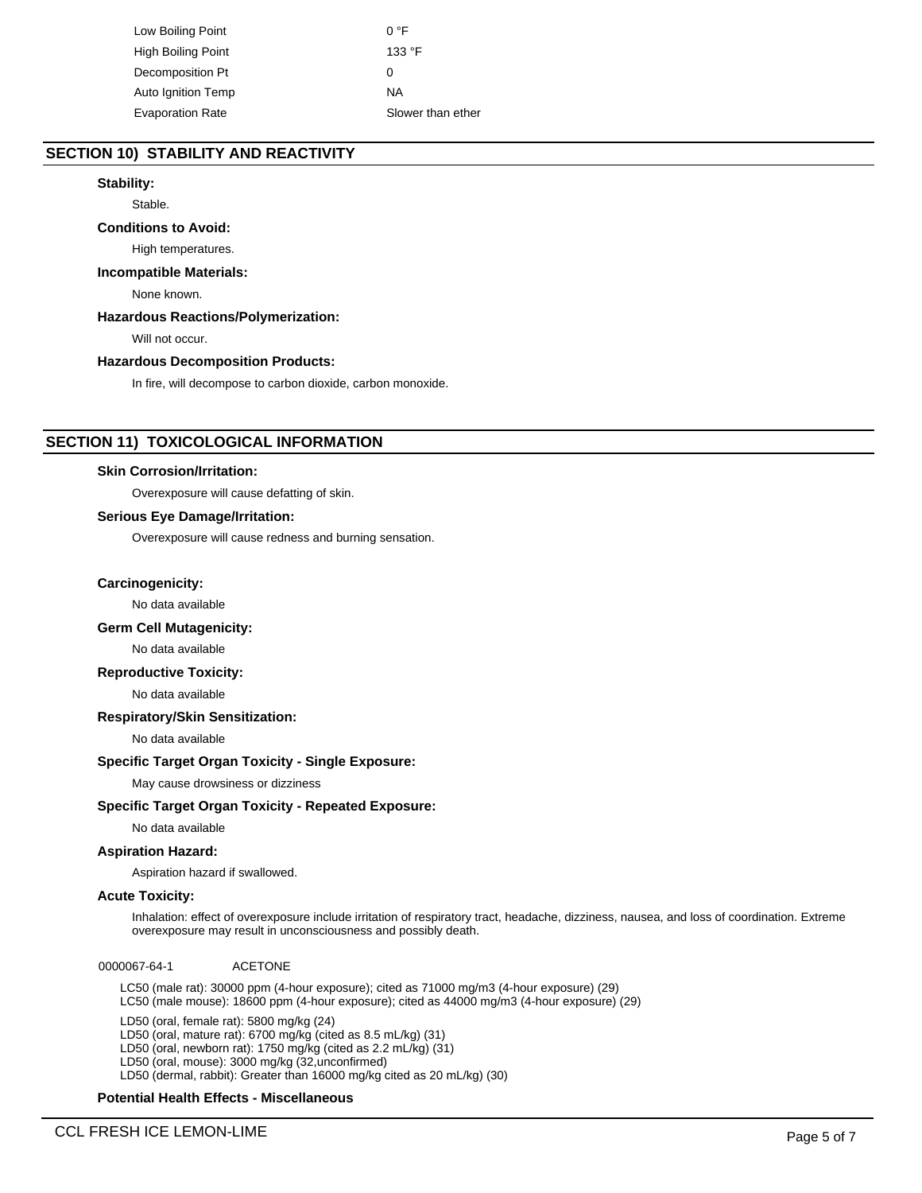Low Boiling Point 0 °F High Boiling Point 133 °F Decomposition Pt 0 Auto Ignition Temp NA Evaporation Rate Slower than ether

## **SECTION 10) STABILITY AND REACTIVITY**

## **Stability:**

Stable.

## **Conditions to Avoid:**

High temperatures.

## **Incompatible Materials:**

None known.

## **Hazardous Reactions/Polymerization:**

Will not occur.

#### **Hazardous Decomposition Products:**

In fire, will decompose to carbon dioxide, carbon monoxide.

## **SECTION 11) TOXICOLOGICAL INFORMATION**

#### **Skin Corrosion/Irritation:**

Overexposure will cause defatting of skin.

#### **Serious Eye Damage/Irritation:**

Overexposure will cause redness and burning sensation.

#### **Carcinogenicity:**

No data available

## **Germ Cell Mutagenicity:**

No data available

## **Reproductive Toxicity:**

No data available

## **Respiratory/Skin Sensitization:**

No data available

#### **Specific Target Organ Toxicity - Single Exposure:**

May cause drowsiness or dizziness

#### **Specific Target Organ Toxicity - Repeated Exposure:**

No data available

#### **Aspiration Hazard:**

Aspiration hazard if swallowed.

## **Acute Toxicity:**

Inhalation: effect of overexposure include irritation of respiratory tract, headache, dizziness, nausea, and loss of coordination. Extreme overexposure may result in unconsciousness and possibly death.

0000067-64-1 ACETONE

LC50 (male rat): 30000 ppm (4-hour exposure); cited as 71000 mg/m3 (4-hour exposure) (29) LC50 (male mouse): 18600 ppm (4-hour exposure); cited as 44000 mg/m3 (4-hour exposure) (29)

LD50 (oral, female rat): 5800 mg/kg (24) LD50 (oral, mature rat): 6700 mg/kg (cited as 8.5 mL/kg) (31) LD50 (oral, newborn rat): 1750 mg/kg (cited as 2.2 mL/kg) (31) LD50 (oral, mouse): 3000 mg/kg (32,unconfirmed) LD50 (dermal, rabbit): Greater than 16000 mg/kg cited as 20 mL/kg) (30)

## **Potential Health Effects - Miscellaneous**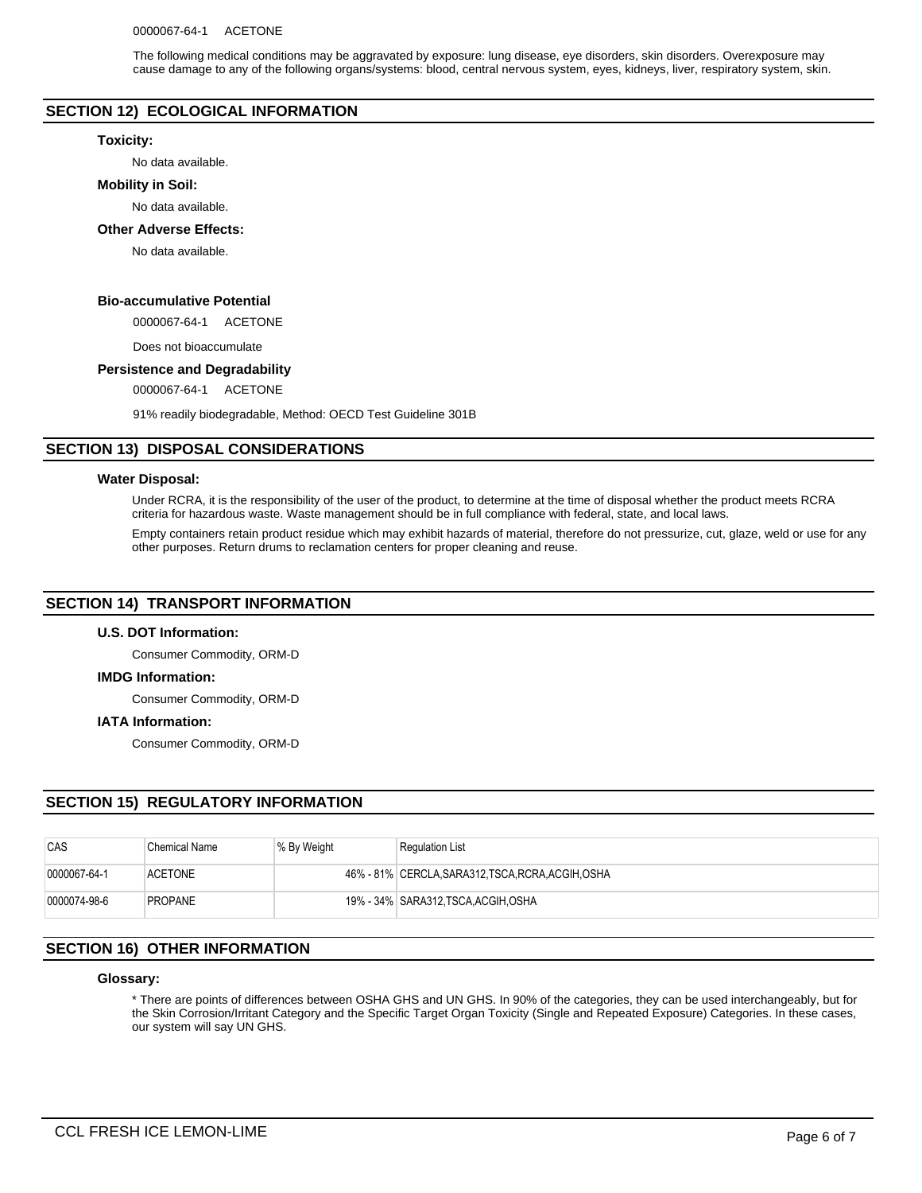The following medical conditions may be aggravated by exposure: lung disease, eye disorders, skin disorders. Overexposure may cause damage to any of the following organs/systems: blood, central nervous system, eyes, kidneys, liver, respiratory system, skin.

## **SECTION 12) ECOLOGICAL INFORMATION**

#### **Toxicity:**

No data available.

#### **Mobility in Soil:**

No data available.

#### **Other Adverse Effects:**

No data available.

## **Bio-accumulative Potential**

0000067-64-1 ACETONE

Does not bioaccumulate

## **Persistence and Degradability**

0000067-64-1 ACETONE

91% readily biodegradable, Method: OECD Test Guideline 301B

## **SECTION 13) DISPOSAL CONSIDERATIONS**

#### **Water Disposal:**

Under RCRA, it is the responsibility of the user of the product, to determine at the time of disposal whether the product meets RCRA criteria for hazardous waste. Waste management should be in full compliance with federal, state, and local laws.

Empty containers retain product residue which may exhibit hazards of material, therefore do not pressurize, cut, glaze, weld or use for any other purposes. Return drums to reclamation centers for proper cleaning and reuse.

## **SECTION 14) TRANSPORT INFORMATION**

#### **U.S. DOT Information:**

Consumer Commodity, ORM-D

#### **IMDG Information:**

Consumer Commodity, ORM-D

#### **IATA Information:**

Consumer Commodity, ORM-D

## **SECTION 15) REGULATORY INFORMATION**

| CAS          | <b>Chemical Name</b> | % By Weight | <b>Regulation List</b>                             |
|--------------|----------------------|-------------|----------------------------------------------------|
| 0000067-64-1 | <b>ACETONE</b>       |             | 46% - 81% CERCLA, SARA312, TSCA, RCRA, ACGIH, OSHA |
| 0000074-98-6 | <b>PROPANE</b>       |             | 19% - 34%   SARA312,TSCA,ACGIH,OSHA                |

## **SECTION 16) OTHER INFORMATION**

#### **Glossary:**

\* There are points of differences between OSHA GHS and UN GHS. In 90% of the categories, they can be used interchangeably, but for the Skin Corrosion/Irritant Category and the Specific Target Organ Toxicity (Single and Repeated Exposure) Categories. In these cases, our system will say UN GHS.